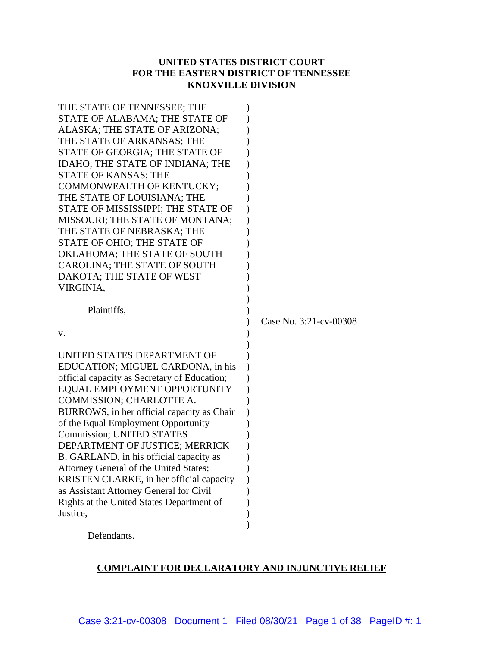# **UNITED STATES DISTRICT COURT FOR THE EASTERN DISTRICT OF TENNESSEE KNOXVILLE DIVISION**

| THE STATE OF TENNESSEE; THE<br>STATE OF ALABAMA; THE STATE OF<br>ALASKA; THE STATE OF ARIZONA;<br>THE STATE OF ARKANSAS; THE<br>STATE OF GEORGIA; THE STATE OF<br>IDAHO; THE STATE OF INDIANA; THE<br>STATE OF KANSAS; THE<br>COMMONWEALTH OF KENTUCKY;<br>THE STATE OF LOUISIANA; THE<br>STATE OF MISSISSIPPI; THE STATE OF<br>MISSOURI; THE STATE OF MONTANA;<br>THE STATE OF NEBRASKA; THE<br>STATE OF OHIO; THE STATE OF |                        |
|------------------------------------------------------------------------------------------------------------------------------------------------------------------------------------------------------------------------------------------------------------------------------------------------------------------------------------------------------------------------------------------------------------------------------|------------------------|
| OKLAHOMA; THE STATE OF SOUTH                                                                                                                                                                                                                                                                                                                                                                                                 |                        |
| <b>CAROLINA; THE STATE OF SOUTH</b>                                                                                                                                                                                                                                                                                                                                                                                          |                        |
| DAKOTA; THE STATE OF WEST                                                                                                                                                                                                                                                                                                                                                                                                    |                        |
| VIRGINIA,                                                                                                                                                                                                                                                                                                                                                                                                                    |                        |
|                                                                                                                                                                                                                                                                                                                                                                                                                              |                        |
| Plaintiffs,                                                                                                                                                                                                                                                                                                                                                                                                                  |                        |
|                                                                                                                                                                                                                                                                                                                                                                                                                              | Case No. 3:21-cv-00308 |
| v.                                                                                                                                                                                                                                                                                                                                                                                                                           |                        |
| UNITED STATES DEPARTMENT OF                                                                                                                                                                                                                                                                                                                                                                                                  |                        |
| EDUCATION; MIGUEL CARDONA, in his                                                                                                                                                                                                                                                                                                                                                                                            |                        |
| official capacity as Secretary of Education;                                                                                                                                                                                                                                                                                                                                                                                 |                        |
| EQUAL EMPLOYMENT OPPORTUNITY                                                                                                                                                                                                                                                                                                                                                                                                 |                        |
| COMMISSION; CHARLOTTE A.                                                                                                                                                                                                                                                                                                                                                                                                     |                        |
| BURROWS, in her official capacity as Chair                                                                                                                                                                                                                                                                                                                                                                                   |                        |
| of the Equal Employment Opportunity                                                                                                                                                                                                                                                                                                                                                                                          |                        |
| <b>Commission; UNITED STATES</b>                                                                                                                                                                                                                                                                                                                                                                                             |                        |
| DEPARTMENT OF JUSTICE; MERRICK                                                                                                                                                                                                                                                                                                                                                                                               |                        |
| B. GARLAND, in his official capacity as                                                                                                                                                                                                                                                                                                                                                                                      |                        |
| Attorney General of the United States;                                                                                                                                                                                                                                                                                                                                                                                       |                        |
| KRISTEN CLARKE, in her official capacity                                                                                                                                                                                                                                                                                                                                                                                     |                        |
| as Assistant Attorney General for Civil                                                                                                                                                                                                                                                                                                                                                                                      |                        |
| Rights at the United States Department of                                                                                                                                                                                                                                                                                                                                                                                    |                        |
| Justice,                                                                                                                                                                                                                                                                                                                                                                                                                     |                        |
|                                                                                                                                                                                                                                                                                                                                                                                                                              |                        |
| Defendants.                                                                                                                                                                                                                                                                                                                                                                                                                  |                        |

# **COMPLAINT FOR DECLARATORY AND INJUNCTIVE RELIEF**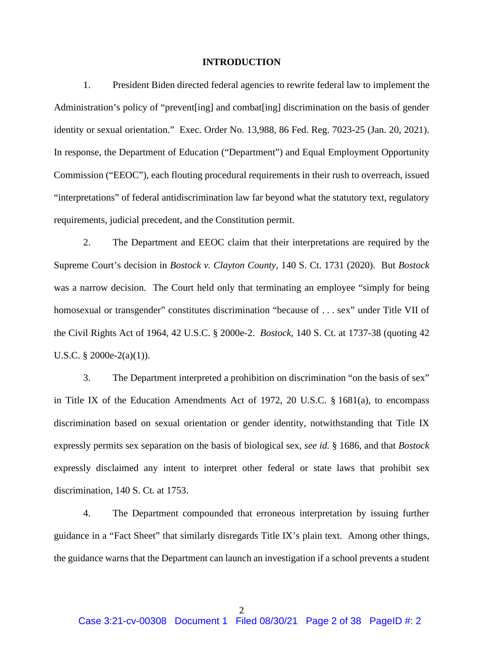#### **INTRODUCTION**

1. President Biden directed federal agencies to rewrite federal law to implement the Administration's policy of "prevent[ing] and combat[ing] discrimination on the basis of gender identity or sexual orientation." Exec. Order No. 13,988, 86 Fed. Reg. 7023-25 (Jan. 20, 2021). In response, the Department of Education ("Department") and Equal Employment Opportunity Commission ("EEOC"), each flouting procedural requirements in their rush to overreach, issued "interpretations" of federal antidiscrimination law far beyond what the statutory text, regulatory requirements, judicial precedent, and the Constitution permit.

2. The Department and EEOC claim that their interpretations are required by the Supreme Court's decision in *Bostock v. Clayton County*, 140 S. Ct. 1731 (2020). But *Bostock*  was a narrow decision. The Court held only that terminating an employee "simply for being homosexual or transgender" constitutes discrimination "because of ... sex" under Title VII of the Civil Rights Act of 1964, 42 U.S.C. § 2000e-2. *Bostock*, 140 S. Ct. at 1737-38 (quoting 42 U.S.C. § 2000e-2(a)(1)).

3. The Department interpreted a prohibition on discrimination "on the basis of sex" in Title IX of the Education Amendments Act of 1972, 20 U.S.C. § 1681(a), to encompass discrimination based on sexual orientation or gender identity, notwithstanding that Title IX expressly permits sex separation on the basis of biological sex, *see id.* § 1686, and that *Bostock* expressly disclaimed any intent to interpret other federal or state laws that prohibit sex discrimination, 140 S. Ct. at 1753.

4. The Department compounded that erroneous interpretation by issuing further guidance in a "Fact Sheet" that similarly disregards Title IX's plain text. Among other things, the guidance warns that the Department can launch an investigation if a school prevents a student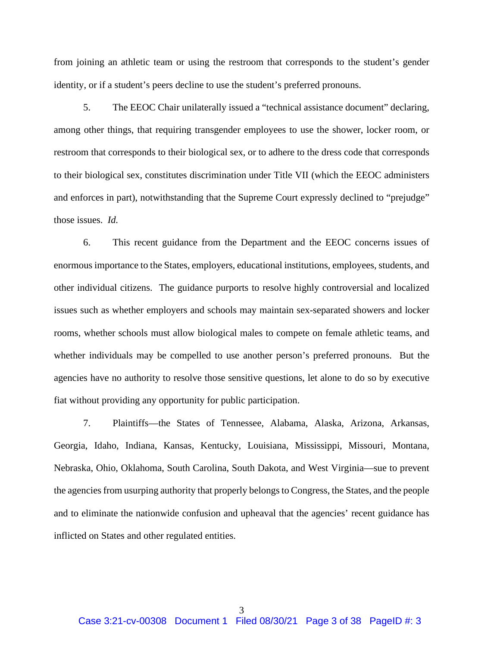from joining an athletic team or using the restroom that corresponds to the student's gender identity, or if a student's peers decline to use the student's preferred pronouns.

5. The EEOC Chair unilaterally issued a "technical assistance document" declaring, among other things, that requiring transgender employees to use the shower, locker room, or restroom that corresponds to their biological sex, or to adhere to the dress code that corresponds to their biological sex, constitutes discrimination under Title VII (which the EEOC administers and enforces in part), notwithstanding that the Supreme Court expressly declined to "prejudge" those issues. *Id.*

6. This recent guidance from the Department and the EEOC concerns issues of enormous importance to the States, employers, educational institutions, employees, students, and other individual citizens. The guidance purports to resolve highly controversial and localized issues such as whether employers and schools may maintain sex-separated showers and locker rooms, whether schools must allow biological males to compete on female athletic teams, and whether individuals may be compelled to use another person's preferred pronouns. But the agencies have no authority to resolve those sensitive questions, let alone to do so by executive fiat without providing any opportunity for public participation.

7. Plaintiffs—the States of Tennessee, Alabama, Alaska, Arizona, Arkansas, Georgia, Idaho, Indiana, Kansas, Kentucky, Louisiana, Mississippi, Missouri, Montana, Nebraska, Ohio, Oklahoma, South Carolina, South Dakota, and West Virginia—sue to prevent the agencies from usurping authority that properly belongs to Congress, the States, and the people and to eliminate the nationwide confusion and upheaval that the agencies' recent guidance has inflicted on States and other regulated entities.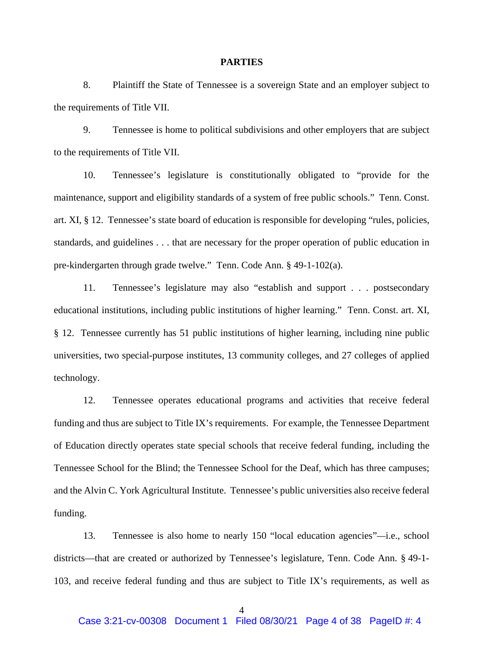#### **PARTIES**

8. Plaintiff the State of Tennessee is a sovereign State and an employer subject to the requirements of Title VII.

9. Tennessee is home to political subdivisions and other employers that are subject to the requirements of Title VII.

10. Tennessee's legislature is constitutionally obligated to "provide for the maintenance, support and eligibility standards of a system of free public schools." Tenn. Const. art. XI, § 12. Tennessee's state board of education is responsible for developing "rules, policies, standards, and guidelines . . . that are necessary for the proper operation of public education in pre-kindergarten through grade twelve." Tenn. Code Ann. § 49-1-102(a).

11. Tennessee's legislature may also "establish and support . . . postsecondary educational institutions, including public institutions of higher learning." Tenn. Const. art. XI, § 12. Tennessee currently has 51 public institutions of higher learning, including nine public universities, two special-purpose institutes, 13 community colleges, and 27 colleges of applied technology.

12. Tennessee operates educational programs and activities that receive federal funding and thus are subject to Title IX's requirements. For example, the Tennessee Department of Education directly operates state special schools that receive federal funding, including the Tennessee School for the Blind; the Tennessee School for the Deaf, which has three campuses; and the Alvin C. York Agricultural Institute. Tennessee's public universities also receive federal funding.

13. Tennessee is also home to nearly 150 "local education agencies"*—*i.e., school districts—that are created or authorized by Tennessee's legislature, Tenn. Code Ann. § 49-1- 103, and receive federal funding and thus are subject to Title IX's requirements, as well as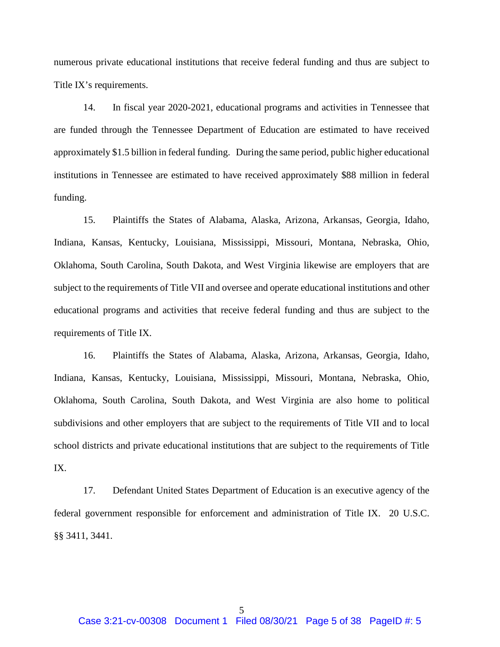numerous private educational institutions that receive federal funding and thus are subject to Title IX's requirements.

14. In fiscal year 2020-2021, educational programs and activities in Tennessee that are funded through the Tennessee Department of Education are estimated to have received approximately \$1.5 billion in federal funding. During the same period, public higher educational institutions in Tennessee are estimated to have received approximately \$88 million in federal funding.

15. Plaintiffs the States of Alabama, Alaska, Arizona, Arkansas, Georgia, Idaho, Indiana, Kansas, Kentucky, Louisiana, Mississippi, Missouri, Montana, Nebraska, Ohio, Oklahoma, South Carolina, South Dakota, and West Virginia likewise are employers that are subject to the requirements of Title VII and oversee and operate educational institutions and other educational programs and activities that receive federal funding and thus are subject to the requirements of Title IX.

16. Plaintiffs the States of Alabama, Alaska, Arizona, Arkansas, Georgia, Idaho, Indiana, Kansas, Kentucky, Louisiana, Mississippi, Missouri, Montana, Nebraska, Ohio, Oklahoma, South Carolina, South Dakota, and West Virginia are also home to political subdivisions and other employers that are subject to the requirements of Title VII and to local school districts and private educational institutions that are subject to the requirements of Title IX.

17. Defendant United States Department of Education is an executive agency of the federal government responsible for enforcement and administration of Title IX. 20 U.S.C. §§ 3411, 3441.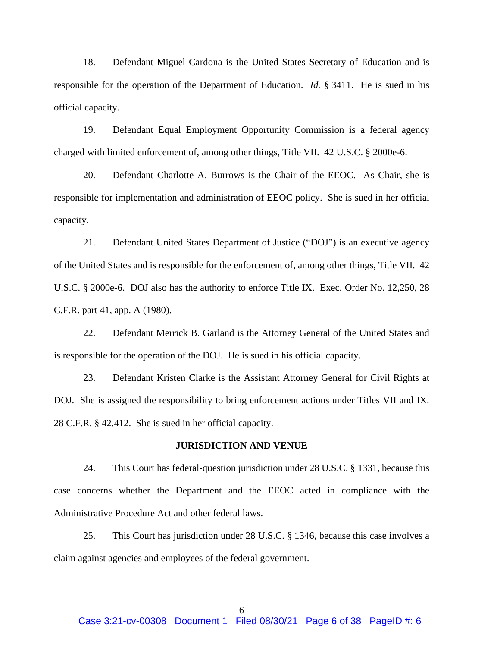18. Defendant Miguel Cardona is the United States Secretary of Education and is responsible for the operation of the Department of Education. *Id.* § 3411. He is sued in his official capacity.

19. Defendant Equal Employment Opportunity Commission is a federal agency charged with limited enforcement of, among other things, Title VII. 42 U.S.C. § 2000e-6.

20. Defendant Charlotte A. Burrows is the Chair of the EEOC. As Chair, she is responsible for implementation and administration of EEOC policy. She is sued in her official capacity.

21. Defendant United States Department of Justice ("DOJ") is an executive agency of the United States and is responsible for the enforcement of, among other things, Title VII. 42 U.S.C. § 2000e-6. DOJ also has the authority to enforce Title IX. Exec. Order No. 12,250, 28 C.F.R. part 41, app. A (1980).

22. Defendant Merrick B. Garland is the Attorney General of the United States and is responsible for the operation of the DOJ. He is sued in his official capacity.

23. Defendant Kristen Clarke is the Assistant Attorney General for Civil Rights at DOJ. She is assigned the responsibility to bring enforcement actions under Titles VII and IX. 28 C.F.R. § 42.412. She is sued in her official capacity.

#### **JURISDICTION AND VENUE**

24. This Court has federal-question jurisdiction under 28 U.S.C. § 1331, because this case concerns whether the Department and the EEOC acted in compliance with the Administrative Procedure Act and other federal laws.

25. This Court has jurisdiction under 28 U.S.C. § 1346, because this case involves a claim against agencies and employees of the federal government.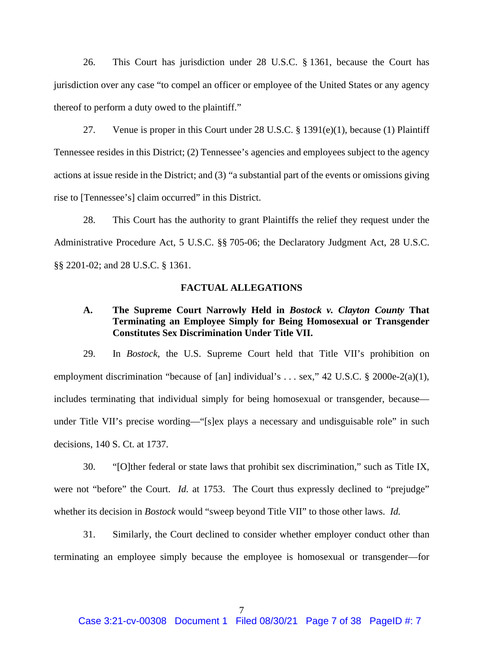26. This Court has jurisdiction under 28 U.S.C. § 1361, because the Court has jurisdiction over any case "to compel an officer or employee of the United States or any agency thereof to perform a duty owed to the plaintiff."

27. Venue is proper in this Court under 28 U.S.C. § 1391(e)(1), because (1) Plaintiff Tennessee resides in this District; (2) Tennessee's agencies and employees subject to the agency actions at issue reside in the District; and (3) "a substantial part of the events or omissions giving rise to [Tennessee's] claim occurred" in this District.

28. This Court has the authority to grant Plaintiffs the relief they request under the Administrative Procedure Act, 5 U.S.C. §§ 705-06; the Declaratory Judgment Act, 28 U.S.C. §§ 2201-02; and 28 U.S.C. § 1361.

#### **FACTUAL ALLEGATIONS**

# **A. The Supreme Court Narrowly Held in** *Bostock v. Clayton County* **That Terminating an Employee Simply for Being Homosexual or Transgender Constitutes Sex Discrimination Under Title VII.**

29. In *Bostock*, the U.S. Supreme Court held that Title VII's prohibition on employment discrimination "because of [an] individual's ... sex," 42 U.S.C. § 2000e-2(a)(1), includes terminating that individual simply for being homosexual or transgender, because under Title VII's precise wording—"[s]ex plays a necessary and undisguisable role" in such decisions, 140 S. Ct. at 1737.

30. "[O]ther federal or state laws that prohibit sex discrimination," such as Title IX, were not "before" the Court. *Id.* at 1753. The Court thus expressly declined to "prejudge" whether its decision in *Bostock* would "sweep beyond Title VII" to those other laws. *Id.*

31. Similarly, the Court declined to consider whether employer conduct other than terminating an employee simply because the employee is homosexual or transgender—for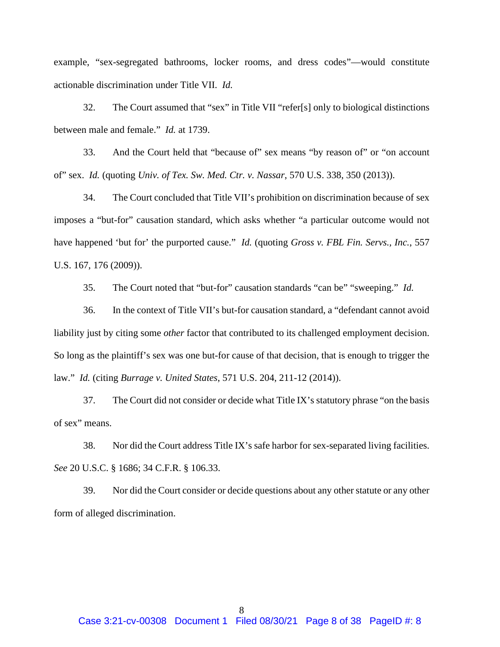example, "sex-segregated bathrooms, locker rooms, and dress codes"—would constitute actionable discrimination under Title VII. *Id.*

32. The Court assumed that "sex" in Title VII "refer[s] only to biological distinctions between male and female." *Id.* at 1739.

33. And the Court held that "because of" sex means "by reason of" or "on account of" sex. *Id.* (quoting *Univ. of Tex. Sw. Med. Ctr. v. Nassar*, 570 U.S. 338, 350 (2013)).

34. The Court concluded that Title VII's prohibition on discrimination because of sex imposes a "but-for" causation standard, which asks whether "a particular outcome would not have happened 'but for' the purported cause." *Id.* (quoting *Gross v. FBL Fin. Servs., Inc.*, 557 U.S. 167, 176 (2009)).

35. The Court noted that "but-for" causation standards "can be" "sweeping." *Id.*

36. In the context of Title VII's but-for causation standard, a "defendant cannot avoid liability just by citing some *other* factor that contributed to its challenged employment decision. So long as the plaintiff's sex was one but-for cause of that decision, that is enough to trigger the law." *Id.* (citing *Burrage v. United States*, 571 U.S. 204, 211-12 (2014)).

37. The Court did not consider or decide what Title IX's statutory phrase "on the basis of sex" means.

38. Nor did the Court address Title IX's safe harbor for sex-separated living facilities. *See* 20 U.S.C. § 1686; 34 C.F.R. § 106.33.

39. Nor did the Court consider or decide questions about any other statute or any other form of alleged discrimination.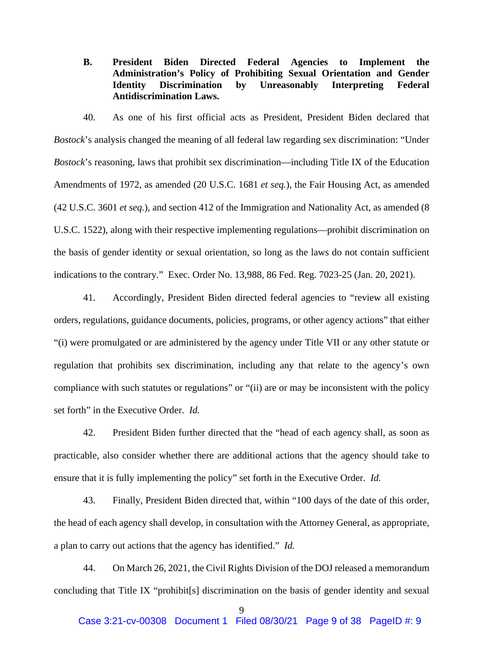**B. President Biden Directed Federal Agencies to Implement the Administration's Policy of Prohibiting Sexual Orientation and Gender Identity Discrimination by Unreasonably Interpreting Federal Antidiscrimination Laws.**

40. As one of his first official acts as President, President Biden declared that *Bostock*'s analysis changed the meaning of all federal law regarding sex discrimination: "Under *Bostock*'s reasoning, laws that prohibit sex discrimination—including Title IX of the Education Amendments of 1972, as amended (20 U.S.C. 1681 *et seq.*), the Fair Housing Act, as amended (42 U.S.C. 3601 *et seq.*), and section 412 of the Immigration and Nationality Act, as amended (8 U.S.C. 1522), along with their respective implementing regulations—prohibit discrimination on the basis of gender identity or sexual orientation, so long as the laws do not contain sufficient indications to the contrary." Exec. Order No. 13,988, 86 Fed. Reg. 7023-25 (Jan. 20, 2021).

41. Accordingly, President Biden directed federal agencies to "review all existing orders, regulations, guidance documents, policies, programs, or other agency actions" that either "(i) were promulgated or are administered by the agency under Title VII or any other statute or regulation that prohibits sex discrimination, including any that relate to the agency's own compliance with such statutes or regulations" or "(ii) are or may be inconsistent with the policy set forth" in the Executive Order. *Id.*

42. President Biden further directed that the "head of each agency shall, as soon as practicable, also consider whether there are additional actions that the agency should take to ensure that it is fully implementing the policy" set forth in the Executive Order. *Id.*

43. Finally, President Biden directed that, within "100 days of the date of this order, the head of each agency shall develop, in consultation with the Attorney General, as appropriate, a plan to carry out actions that the agency has identified." *Id.*

44. On March 26, 2021, the Civil Rights Division of the DOJ released a memorandum concluding that Title IX "prohibit[s] discrimination on the basis of gender identity and sexual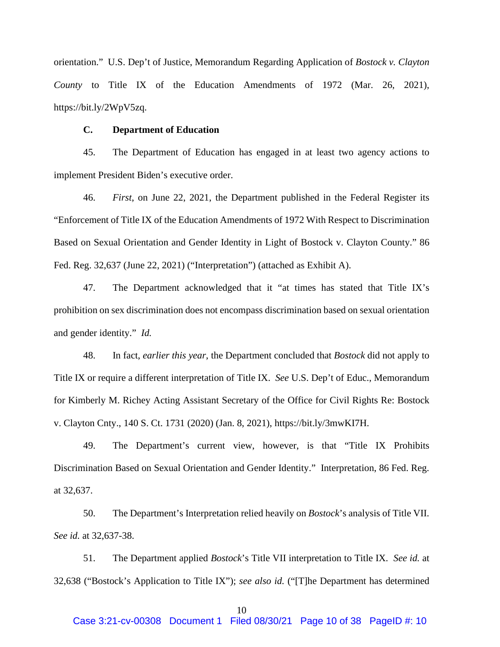orientation." U.S. Dep't of Justice, Memorandum Regarding Application of *Bostock v. Clayton County* to Title IX of the Education Amendments of 1972 (Mar. 26, 2021), https://bit.ly/2WpV5zq.

#### **C. Department of Education**

45. The Department of Education has engaged in at least two agency actions to implement President Biden's executive order.

46. *First*, on June 22, 2021, the Department published in the Federal Register its "Enforcement of Title IX of the Education Amendments of 1972 With Respect to Discrimination Based on Sexual Orientation and Gender Identity in Light of Bostock v. Clayton County." 86 Fed. Reg. 32,637 (June 22, 2021) ("Interpretation") (attached as Exhibit A).

47. The Department acknowledged that it "at times has stated that Title IX's prohibition on sex discrimination does not encompass discrimination based on sexual orientation and gender identity." *Id.*

48. In fact, *earlier this year*, the Department concluded that *Bostock* did not apply to Title IX or require a different interpretation of Title IX. *See* U.S. Dep't of Educ., Memorandum for Kimberly M. Richey Acting Assistant Secretary of the Office for Civil Rights Re: Bostock v. Clayton Cnty., 140 S. Ct. 1731 (2020) (Jan. 8, 2021), https://bit.ly/3mwKI7H.

49. The Department's current view, however, is that "Title IX Prohibits Discrimination Based on Sexual Orientation and Gender Identity." Interpretation, 86 Fed. Reg. at 32,637.

50. The Department's Interpretation relied heavily on *Bostock*'s analysis of Title VII. *See id.* at 32,637-38.

51. The Department applied *Bostock*'s Title VII interpretation to Title IX. *See id.* at 32,638 ("Bostock's Application to Title IX"); *see also id.* ("[T]he Department has determined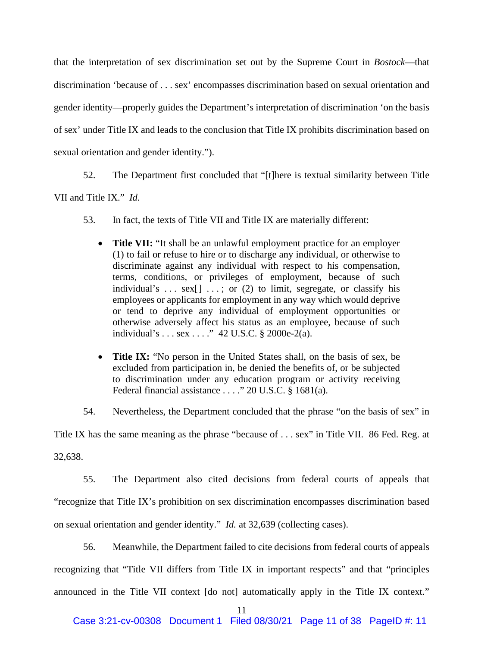that the interpretation of sex discrimination set out by the Supreme Court in *Bostock*—that discrimination 'because of . . . sex' encompasses discrimination based on sexual orientation and gender identity—properly guides the Department's interpretation of discrimination 'on the basis of sex' under Title IX and leads to the conclusion that Title IX prohibits discrimination based on sexual orientation and gender identity.").

52. The Department first concluded that "[t]here is textual similarity between Title

VII and Title IX." *Id.*

- 53. In fact, the texts of Title VII and Title IX are materially different:
	- **Title VII:** "It shall be an unlawful employment practice for an employer (1) to fail or refuse to hire or to discharge any individual, or otherwise to discriminate against any individual with respect to his compensation, terms, conditions, or privileges of employment, because of such individual's ...  $sex[]$  ...; or (2) to limit, segregate, or classify his employees or applicants for employment in any way which would deprive or tend to deprive any individual of employment opportunities or otherwise adversely affect his status as an employee, because of such individual's . . . sex . . . ." 42 U.S.C. § 2000e-2(a).
	- **Title IX:** "No person in the United States shall, on the basis of sex, be excluded from participation in, be denied the benefits of, or be subjected to discrimination under any education program or activity receiving Federal financial assistance . . . ." 20 U.S.C. § 1681(a).

54. Nevertheless, the Department concluded that the phrase "on the basis of sex" in

Title IX has the same meaning as the phrase "because of . . . sex" in Title VII. 86 Fed. Reg. at

32,638.

55. The Department also cited decisions from federal courts of appeals that "recognize that Title IX's prohibition on sex discrimination encompasses discrimination based on sexual orientation and gender identity." *Id.* at 32,639 (collecting cases).

56. Meanwhile, the Department failed to cite decisions from federal courts of appeals recognizing that "Title VII differs from Title IX in important respects" and that "principles announced in the Title VII context [do not] automatically apply in the Title IX context."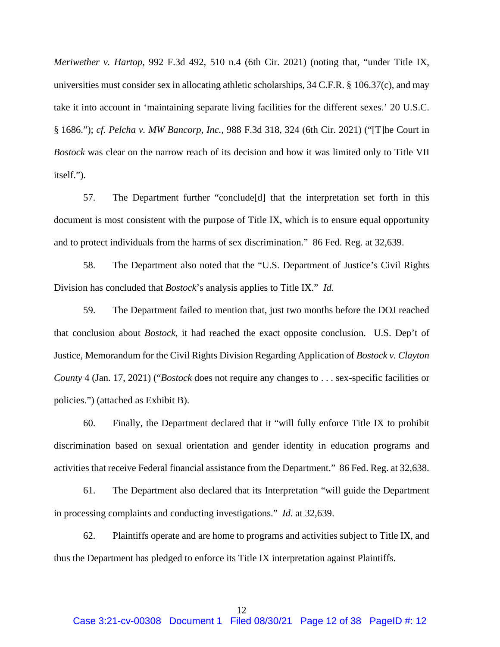*Meriwether v. Hartop*, 992 F.3d 492, 510 n.4 (6th Cir. 2021) (noting that, "under Title IX, universities must consider sex in allocating athletic scholarships, 34 C.F.R. § 106.37(c), and may take it into account in 'maintaining separate living facilities for the different sexes.' 20 U.S.C. § 1686."); *cf. Pelcha v. MW Bancorp, Inc.*, 988 F.3d 318, 324 (6th Cir. 2021) ("[T]he Court in *Bostock* was clear on the narrow reach of its decision and how it was limited only to Title VII itself.").

57. The Department further "conclude[d] that the interpretation set forth in this document is most consistent with the purpose of Title IX, which is to ensure equal opportunity and to protect individuals from the harms of sex discrimination." 86 Fed. Reg. at 32,639.

58. The Department also noted that the "U.S. Department of Justice's Civil Rights Division has concluded that *Bostock*'s analysis applies to Title IX." *Id.*

59. The Department failed to mention that, just two months before the DOJ reached that conclusion about *Bostock*, it had reached the exact opposite conclusion. U.S. Dep't of Justice, Memorandum for the Civil Rights Division Regarding Application of *Bostock v. Clayton County* 4 (Jan. 17, 2021) ("*Bostock* does not require any changes to . . . sex-specific facilities or policies.") (attached as Exhibit B).

60. Finally, the Department declared that it "will fully enforce Title IX to prohibit discrimination based on sexual orientation and gender identity in education programs and activities that receive Federal financial assistance from the Department." 86 Fed. Reg. at 32,638.

61. The Department also declared that its Interpretation "will guide the Department in processing complaints and conducting investigations." *Id.* at 32,639.

62. Plaintiffs operate and are home to programs and activities subject to Title IX, and thus the Department has pledged to enforce its Title IX interpretation against Plaintiffs.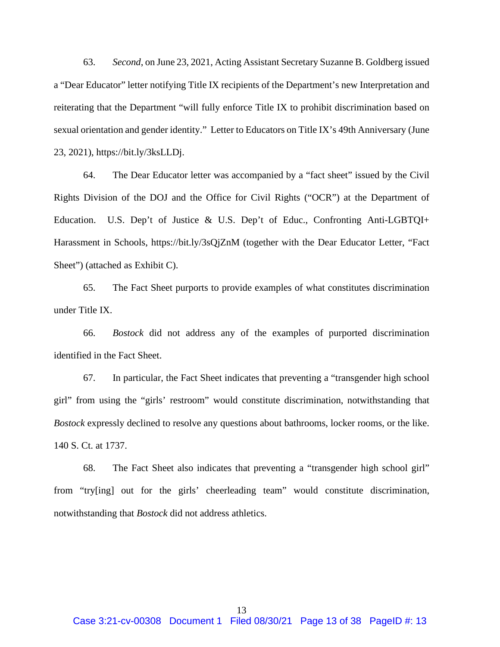63. *Second*, on June 23, 2021, Acting Assistant Secretary Suzanne B. Goldberg issued a "Dear Educator" letter notifying Title IX recipients of the Department's new Interpretation and reiterating that the Department "will fully enforce Title IX to prohibit discrimination based on sexual orientation and gender identity." Letter to Educators on Title IX's 49th Anniversary (June 23, 2021), https://bit.ly/3ksLLDj.

64. The Dear Educator letter was accompanied by a "fact sheet" issued by the Civil Rights Division of the DOJ and the Office for Civil Rights ("OCR") at the Department of Education. U.S. Dep't of Justice & U.S. Dep't of Educ., Confronting Anti-LGBTQI+ Harassment in Schools, https://bit.ly/3sQjZnM (together with the Dear Educator Letter, "Fact Sheet") (attached as Exhibit C).

65. The Fact Sheet purports to provide examples of what constitutes discrimination under Title IX.

66. *Bostock* did not address any of the examples of purported discrimination identified in the Fact Sheet.

67. In particular, the Fact Sheet indicates that preventing a "transgender high school girl" from using the "girls' restroom" would constitute discrimination, notwithstanding that *Bostock* expressly declined to resolve any questions about bathrooms, locker rooms, or the like. 140 S. Ct. at 1737.

68. The Fact Sheet also indicates that preventing a "transgender high school girl" from "try[ing] out for the girls' cheerleading team" would constitute discrimination, notwithstanding that *Bostock* did not address athletics.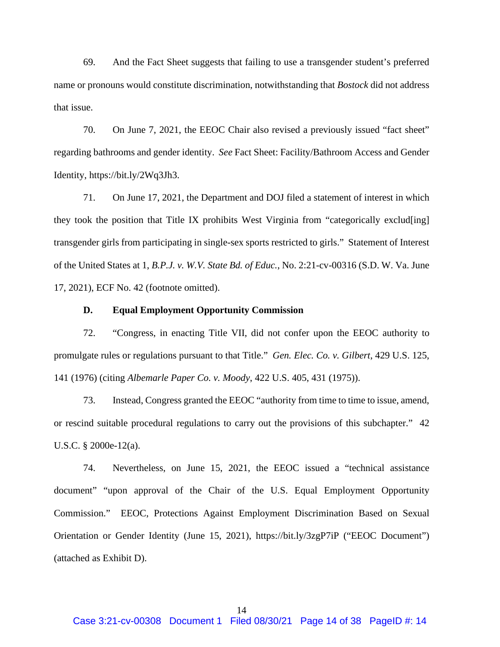69. And the Fact Sheet suggests that failing to use a transgender student's preferred name or pronouns would constitute discrimination, notwithstanding that *Bostock* did not address that issue.

70. On June 7, 2021, the EEOC Chair also revised a previously issued "fact sheet" regarding bathrooms and gender identity. *See* Fact Sheet: Facility/Bathroom Access and Gender Identity, https://bit.ly/2Wq3Jh3.

71. On June 17, 2021, the Department and DOJ filed a statement of interest in which they took the position that Title IX prohibits West Virginia from "categorically exclud[ing] transgender girls from participating in single-sex sports restricted to girls." Statement of Interest of the United States at 1, *B.P.J. v. W.V. State Bd. of Educ.*, No. 2:21-cv-00316 (S.D. W. Va. June 17, 2021), ECF No. 42 (footnote omitted).

#### **D. Equal Employment Opportunity Commission**

72. "Congress, in enacting Title VII, did not confer upon the EEOC authority to promulgate rules or regulations pursuant to that Title." *Gen. Elec. Co. v. Gilbert*, 429 U.S. 125, 141 (1976) (citing *Albemarle Paper Co. v. Moody*, 422 U.S. 405, 431 (1975)).

73. Instead, Congress granted the EEOC "authority from time to time to issue, amend, or rescind suitable procedural regulations to carry out the provisions of this subchapter." 42 U.S.C. § 2000e-12(a).

74. Nevertheless, on June 15, 2021, the EEOC issued a "technical assistance document" "upon approval of the Chair of the U.S. Equal Employment Opportunity Commission." EEOC, Protections Against Employment Discrimination Based on Sexual Orientation or Gender Identity (June 15, 2021), https://bit.ly/3zgP7iP ("EEOC Document") (attached as Exhibit D).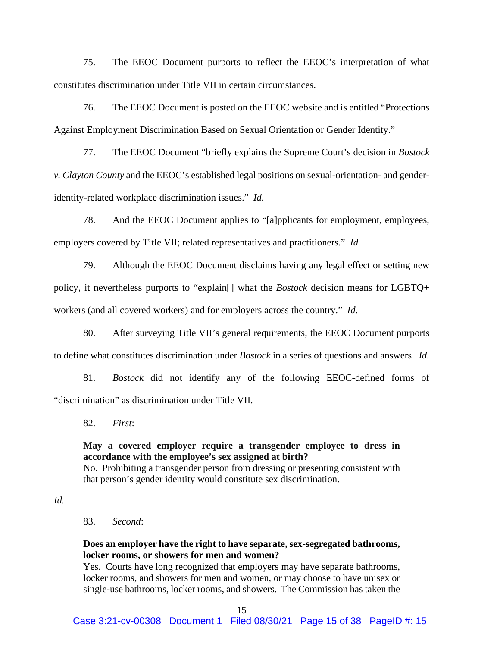75. The EEOC Document purports to reflect the EEOC's interpretation of what constitutes discrimination under Title VII in certain circumstances.

76. The EEOC Document is posted on the EEOC website and is entitled "Protections Against Employment Discrimination Based on Sexual Orientation or Gender Identity."

77. The EEOC Document "briefly explains the Supreme Court's decision in *Bostock v. Clayton County* and the EEOC's established legal positions on sexual-orientation- and genderidentity-related workplace discrimination issues." *Id.*

78. And the EEOC Document applies to "[a]pplicants for employment, employees, employers covered by Title VII; related representatives and practitioners." *Id.*

79. Although the EEOC Document disclaims having any legal effect or setting new policy, it nevertheless purports to "explain[] what the *Bostock* decision means for LGBTQ+ workers (and all covered workers) and for employers across the country." *Id.*

80. After surveying Title VII's general requirements, the EEOC Document purports to define what constitutes discrimination under *Bostock* in a series of questions and answers. *Id.*

81. *Bostock* did not identify any of the following EEOC-defined forms of "discrimination" as discrimination under Title VII.

82. *First*:

**May a covered employer require a transgender employee to dress in accordance with the employee's sex assigned at birth?** No. Prohibiting a transgender person from dressing or presenting consistent with that person's gender identity would constitute sex discrimination.

*Id.*

83. *Second*:

# **Does an employer have the right to have separate, sex-segregated bathrooms, locker rooms, or showers for men and women?**

Yes. Courts have long recognized that employers may have separate bathrooms, locker rooms, and showers for men and women, or may choose to have unisex or single-use bathrooms, locker rooms, and showers. The Commission has taken the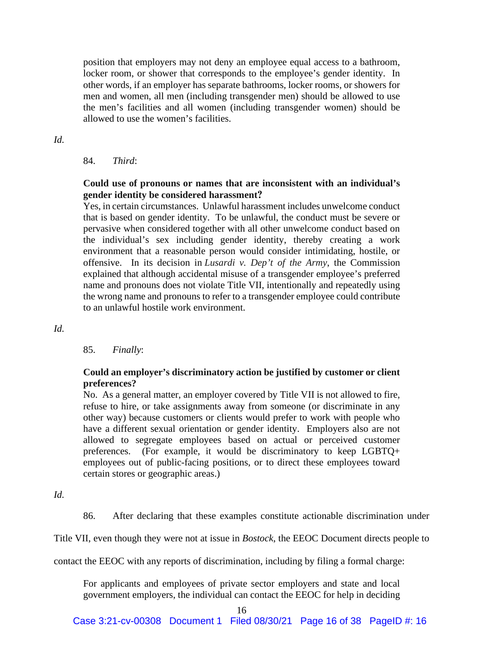position that employers may not deny an employee equal access to a bathroom, locker room, or shower that corresponds to the employee's gender identity. In other words, if an employer has separate bathrooms, locker rooms, or showers for men and women, all men (including transgender men) should be allowed to use the men's facilities and all women (including transgender women) should be allowed to use the women's facilities.

#### *Id.*

#### 84. *Third*:

# **Could use of pronouns or names that are inconsistent with an individual's gender identity be considered harassment?**

Yes, in certain circumstances. Unlawful harassment includes unwelcome conduct that is based on gender identity. To be unlawful, the conduct must be severe or pervasive when considered together with all other unwelcome conduct based on the individual's sex including gender identity, thereby creating a work environment that a reasonable person would consider intimidating, hostile, or offensive. In its decision in *Lusardi v. Dep't of the Army*, the Commission explained that although accidental misuse of a transgender employee's preferred name and pronouns does not violate Title VII, intentionally and repeatedly using the wrong name and pronouns to refer to a transgender employee could contribute to an unlawful hostile work environment.

#### *Id.*

#### 85. *Finally*:

# **Could an employer's discriminatory action be justified by customer or client preferences?**

No. As a general matter, an employer covered by Title VII is not allowed to fire, refuse to hire, or take assignments away from someone (or discriminate in any other way) because customers or clients would prefer to work with people who have a different sexual orientation or gender identity. Employers also are not allowed to segregate employees based on actual or perceived customer preferences. (For example, it would be discriminatory to keep LGBTQ+ employees out of public-facing positions, or to direct these employees toward certain stores or geographic areas.)

*Id.*

86. After declaring that these examples constitute actionable discrimination under

Title VII, even though they were not at issue in *Bostock*, the EEOC Document directs people to

contact the EEOC with any reports of discrimination, including by filing a formal charge:

For applicants and employees of private sector employers and state and local government employers, the individual can contact the EEOC for help in deciding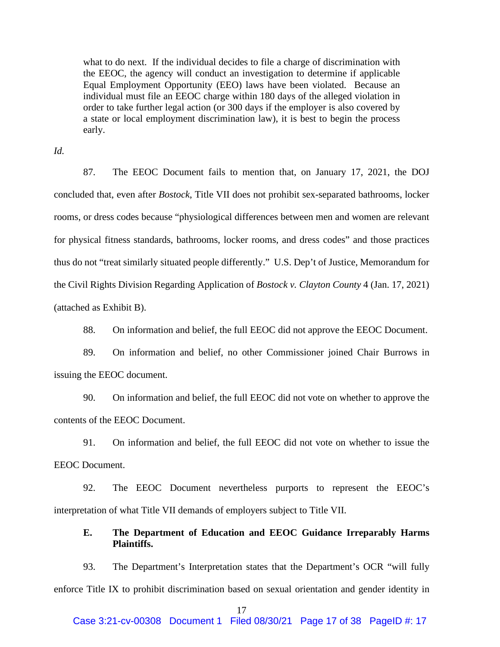what to do next. If the individual decides to file a charge of discrimination with the EEOC, the agency will conduct an investigation to determine if applicable Equal Employment Opportunity (EEO) laws have been violated. Because an individual must file an EEOC charge within 180 days of the alleged violation in order to take further legal action (or 300 days if the employer is also covered by a state or local employment discrimination law), it is best to begin the process early.

*Id.*

87. The EEOC Document fails to mention that, on January 17, 2021, the DOJ concluded that, even after *Bostock*, Title VII does not prohibit sex-separated bathrooms, locker rooms, or dress codes because "physiological differences between men and women are relevant for physical fitness standards, bathrooms, locker rooms, and dress codes" and those practices thus do not "treat similarly situated people differently." U.S. Dep't of Justice, Memorandum for the Civil Rights Division Regarding Application of *Bostock v. Clayton County* 4 (Jan. 17, 2021) (attached as Exhibit B).

88. On information and belief, the full EEOC did not approve the EEOC Document.

89. On information and belief, no other Commissioner joined Chair Burrows in issuing the EEOC document.

90. On information and belief, the full EEOC did not vote on whether to approve the contents of the EEOC Document.

91. On information and belief, the full EEOC did not vote on whether to issue the EEOC Document.

92. The EEOC Document nevertheless purports to represent the EEOC's interpretation of what Title VII demands of employers subject to Title VII.

# **E. The Department of Education and EEOC Guidance Irreparably Harms Plaintiffs.**

93. The Department's Interpretation states that the Department's OCR "will fully enforce Title IX to prohibit discrimination based on sexual orientation and gender identity in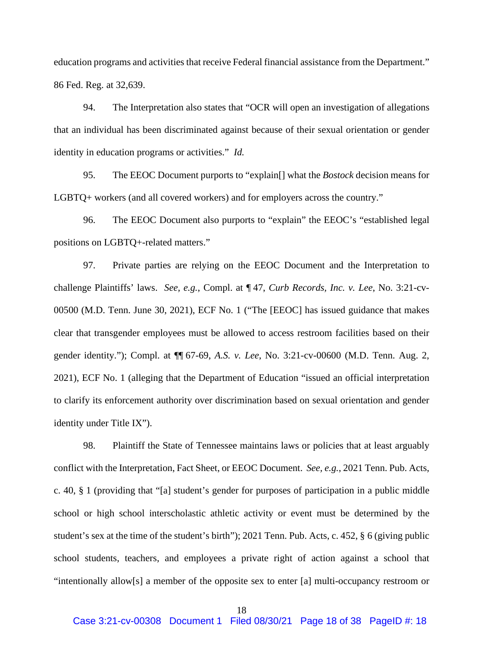education programs and activities that receive Federal financial assistance from the Department." 86 Fed. Reg. at 32,639.

94. The Interpretation also states that "OCR will open an investigation of allegations that an individual has been discriminated against because of their sexual orientation or gender identity in education programs or activities." *Id.*

95. The EEOC Document purports to "explain[] what the *Bostock* decision means for LGBTQ+ workers (and all covered workers) and for employers across the country."

96. The EEOC Document also purports to "explain" the EEOC's "established legal positions on LGBTQ+-related matters."

97. Private parties are relying on the EEOC Document and the Interpretation to challenge Plaintiffs' laws. *See, e.g.*, Compl. at ¶ 47, *Curb Records, Inc. v. Lee*, No. 3:21-cv-00500 (M.D. Tenn. June 30, 2021), ECF No. 1 ("The [EEOC] has issued guidance that makes clear that transgender employees must be allowed to access restroom facilities based on their gender identity."); Compl. at ¶¶ 67-69, *A.S. v. Lee*, No. 3:21-cv-00600 (M.D. Tenn. Aug. 2, 2021), ECF No. 1 (alleging that the Department of Education "issued an official interpretation to clarify its enforcement authority over discrimination based on sexual orientation and gender identity under Title IX").

98. Plaintiff the State of Tennessee maintains laws or policies that at least arguably conflict with the Interpretation, Fact Sheet, or EEOC Document. *See, e.g.*, 2021 Tenn. Pub. Acts, c. 40, § 1 (providing that "[a] student's gender for purposes of participation in a public middle school or high school interscholastic athletic activity or event must be determined by the student's sex at the time of the student's birth"); 2021 Tenn. Pub. Acts, c. 452, § 6 (giving public school students, teachers, and employees a private right of action against a school that "intentionally allow[s] a member of the opposite sex to enter [a] multi-occupancy restroom or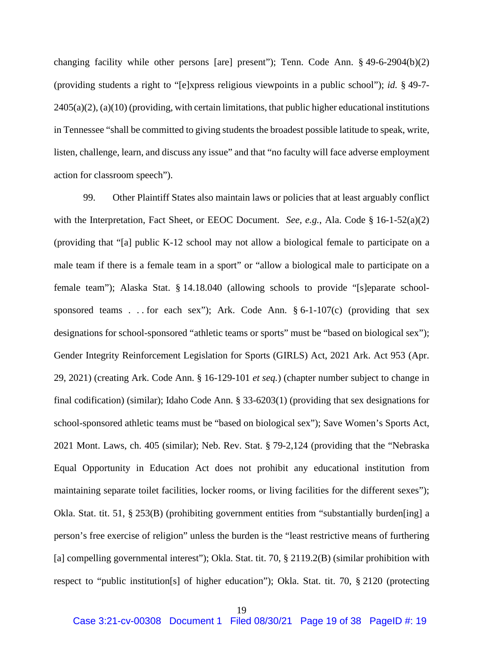changing facility while other persons [are] present"); Tenn. Code Ann. § 49-6-2904(b)(2) (providing students a right to "[e]xpress religious viewpoints in a public school"); *id.* § 49-7-  $2405(a)(2)$ ,  $(a)(10)$  (providing, with certain limitations, that public higher educational institutions in Tennessee "shall be committed to giving students the broadest possible latitude to speak, write, listen, challenge, learn, and discuss any issue" and that "no faculty will face adverse employment action for classroom speech").

99. Other Plaintiff States also maintain laws or policies that at least arguably conflict with the Interpretation, Fact Sheet, or EEOC Document. *See, e.g.*, Ala. Code § 16-1-52(a)(2) (providing that "[a] public K-12 school may not allow a biological female to participate on a male team if there is a female team in a sport" or "allow a biological male to participate on a female team"); Alaska Stat. § 14.18.040 (allowing schools to provide "[s]eparate schoolsponsored teams . . . for each sex"); Ark. Code Ann.  $\S 6$ -1-107(c) (providing that sex designations for school-sponsored "athletic teams or sports" must be "based on biological sex"); Gender Integrity Reinforcement Legislation for Sports (GIRLS) Act, 2021 Ark. Act 953 (Apr. 29, 2021) (creating Ark. Code Ann. § 16-129-101 *et seq.*) (chapter number subject to change in final codification) (similar); Idaho Code Ann. § 33-6203(1) (providing that sex designations for school-sponsored athletic teams must be "based on biological sex"); Save Women's Sports Act, 2021 Mont. Laws, ch. 405 (similar); Neb. Rev. Stat. § 79-2,124 (providing that the "Nebraska Equal Opportunity in Education Act does not prohibit any educational institution from maintaining separate toilet facilities, locker rooms, or living facilities for the different sexes"); Okla. Stat. tit. 51, § 253(B) (prohibiting government entities from "substantially burden[ing] a person's free exercise of religion" unless the burden is the "least restrictive means of furthering [a] compelling governmental interest"); Okla. Stat. tit. 70, § 2119.2(B) (similar prohibition with respect to "public institution[s] of higher education"); Okla. Stat. tit. 70, § 2120 (protecting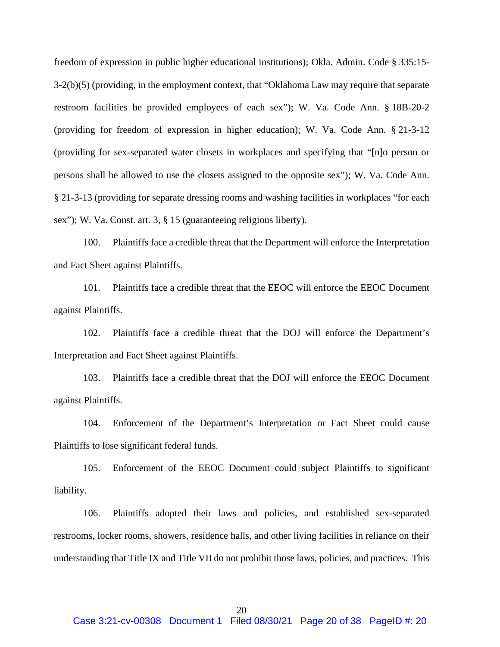freedom of expression in public higher educational institutions); Okla. Admin. Code § 335:15- 3-2(b)(5) (providing, in the employment context, that "Oklahoma Law may require that separate restroom facilities be provided employees of each sex"); W. Va. Code Ann. § 18B-20-2 (providing for freedom of expression in higher education); W. Va. Code Ann. § 21-3-12 (providing for sex-separated water closets in workplaces and specifying that "[n]o person or persons shall be allowed to use the closets assigned to the opposite sex"); W. Va. Code Ann. § 21-3-13 (providing for separate dressing rooms and washing facilities in workplaces "for each sex"); W. Va. Const. art. 3, § 15 (guaranteeing religious liberty).

100. Plaintiffs face a credible threat that the Department will enforce the Interpretation and Fact Sheet against Plaintiffs.

101. Plaintiffs face a credible threat that the EEOC will enforce the EEOC Document against Plaintiffs.

102. Plaintiffs face a credible threat that the DOJ will enforce the Department's Interpretation and Fact Sheet against Plaintiffs.

103. Plaintiffs face a credible threat that the DOJ will enforce the EEOC Document against Plaintiffs.

104. Enforcement of the Department's Interpretation or Fact Sheet could cause Plaintiffs to lose significant federal funds.

105. Enforcement of the EEOC Document could subject Plaintiffs to significant liability.

106. Plaintiffs adopted their laws and policies, and established sex-separated restrooms, locker rooms, showers, residence halls, and other living facilities in reliance on their understanding that Title IX and Title VII do not prohibit those laws, policies, and practices. This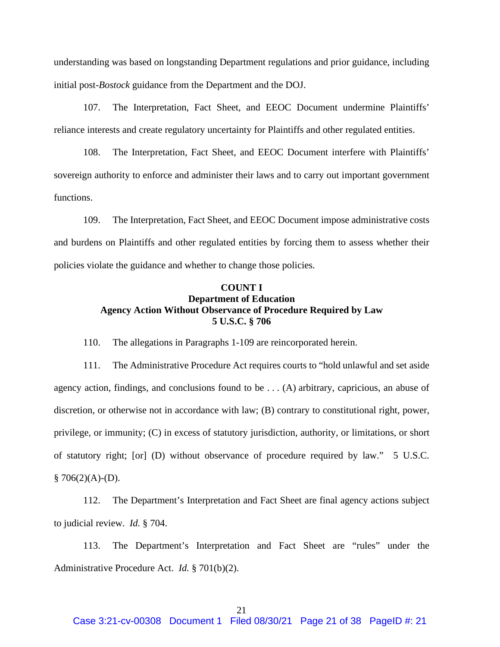understanding was based on longstanding Department regulations and prior guidance, including initial post-*Bostock* guidance from the Department and the DOJ.

107. The Interpretation, Fact Sheet, and EEOC Document undermine Plaintiffs' reliance interests and create regulatory uncertainty for Plaintiffs and other regulated entities.

108. The Interpretation, Fact Sheet, and EEOC Document interfere with Plaintiffs' sovereign authority to enforce and administer their laws and to carry out important government functions.

109. The Interpretation, Fact Sheet, and EEOC Document impose administrative costs and burdens on Plaintiffs and other regulated entities by forcing them to assess whether their policies violate the guidance and whether to change those policies.

#### **COUNT I Department of Education Agency Action Without Observance of Procedure Required by Law 5 U.S.C. § 706**

110. The allegations in Paragraphs 1-109 are reincorporated herein.

111. The Administrative Procedure Act requires courts to "hold unlawful and set aside agency action, findings, and conclusions found to be . . . (A) arbitrary, capricious, an abuse of discretion, or otherwise not in accordance with law; (B) contrary to constitutional right, power, privilege, or immunity; (C) in excess of statutory jurisdiction, authority, or limitations, or short of statutory right; [or] (D) without observance of procedure required by law." 5 U.S.C.  $§ 706(2)(A)-(D).$ 

112. The Department's Interpretation and Fact Sheet are final agency actions subject to judicial review. *Id.* § 704.

113. The Department's Interpretation and Fact Sheet are "rules" under the Administrative Procedure Act. *Id.* § 701(b)(2).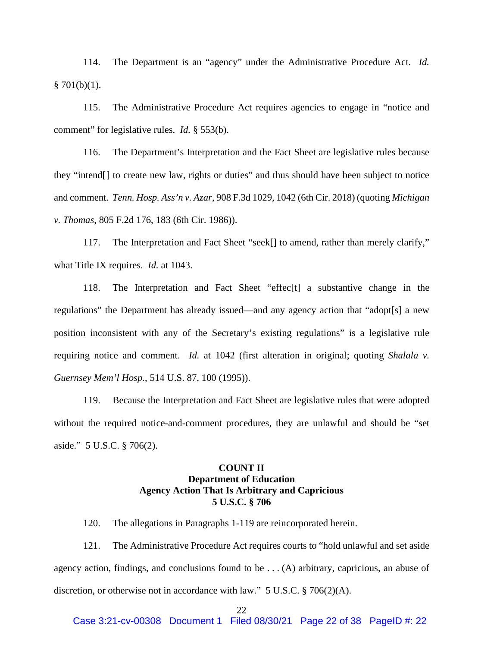114. The Department is an "agency" under the Administrative Procedure Act. *Id.*   $§ 701(b)(1).$ 

115. The Administrative Procedure Act requires agencies to engage in "notice and comment" for legislative rules. *Id.* § 553(b).

116. The Department's Interpretation and the Fact Sheet are legislative rules because they "intend[] to create new law, rights or duties" and thus should have been subject to notice and comment*. Tenn. Hosp. Ass'n v. Azar*, 908 F.3d 1029, 1042 (6th Cir. 2018) (quoting *Michigan v. Thomas*, 805 F.2d 176, 183 (6th Cir. 1986)).

117. The Interpretation and Fact Sheet "seek[] to amend, rather than merely clarify," what Title IX requires. *Id.* at 1043.

118. The Interpretation and Fact Sheet "effec[t] a substantive change in the regulations" the Department has already issued—and any agency action that "adopt[s] a new position inconsistent with any of the Secretary's existing regulations" is a legislative rule requiring notice and comment. *Id.* at 1042 (first alteration in original; quoting *Shalala v. Guernsey Mem'l Hosp.*, 514 U.S. 87, 100 (1995)).

119. Because the Interpretation and Fact Sheet are legislative rules that were adopted without the required notice-and-comment procedures, they are unlawful and should be "set aside." 5 U.S.C. § 706(2).

# **COUNT II Department of Education Agency Action That Is Arbitrary and Capricious 5 U.S.C. § 706**

120. The allegations in Paragraphs 1-119 are reincorporated herein.

121. The Administrative Procedure Act requires courts to "hold unlawful and set aside agency action, findings, and conclusions found to be . . . (A) arbitrary, capricious, an abuse of discretion, or otherwise not in accordance with law." 5 U.S.C. § 706(2)(A).

#### 22

Case 3:21-cv-00308 Document 1 Filed 08/30/21 Page 22 of 38 PageID #: 22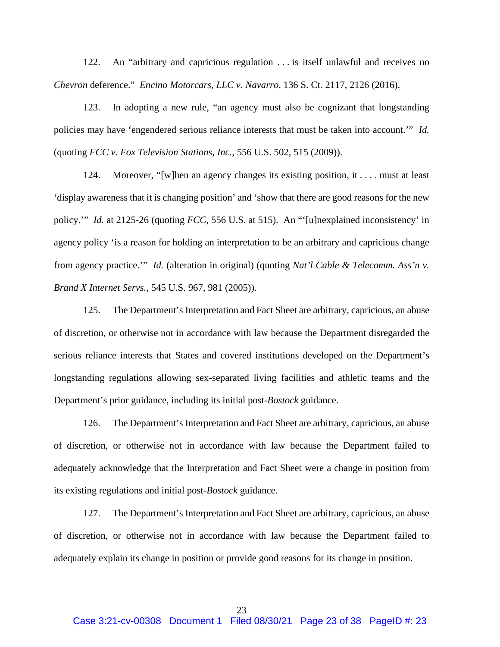122. An "arbitrary and capricious regulation . . . is itself unlawful and receives no *Chevron* deference." *Encino Motorcars, LLC v. Navarro*, 136 S. Ct. 2117, 2126 (2016).

123. In adopting a new rule, "an agency must also be cognizant that longstanding policies may have 'engendered serious reliance interests that must be taken into account.'" *Id.*  (quoting *FCC v. Fox Television Stations, Inc.*, 556 U.S. 502, 515 (2009)).

124. Moreover, "[w]hen an agency changes its existing position, it . . . . must at least 'display awareness that it is changing position' and 'show that there are good reasons for the new policy.'" *Id.* at 2125-26 (quoting *FCC*, 556 U.S. at 515). An "'[u]nexplained inconsistency' in agency policy 'is a reason for holding an interpretation to be an arbitrary and capricious change from agency practice.'" *Id.* (alteration in original) (quoting *Nat'l Cable & Telecomm. Ass'n v. Brand X Internet Servs.*, 545 U.S. 967, 981 (2005)).

125. The Department's Interpretation and Fact Sheet are arbitrary, capricious, an abuse of discretion, or otherwise not in accordance with law because the Department disregarded the serious reliance interests that States and covered institutions developed on the Department's longstanding regulations allowing sex-separated living facilities and athletic teams and the Department's prior guidance, including its initial post-*Bostock* guidance.

126. The Department's Interpretation and Fact Sheet are arbitrary, capricious, an abuse of discretion, or otherwise not in accordance with law because the Department failed to adequately acknowledge that the Interpretation and Fact Sheet were a change in position from its existing regulations and initial post-*Bostock* guidance.

127. The Department's Interpretation and Fact Sheet are arbitrary, capricious, an abuse of discretion, or otherwise not in accordance with law because the Department failed to adequately explain its change in position or provide good reasons for its change in position.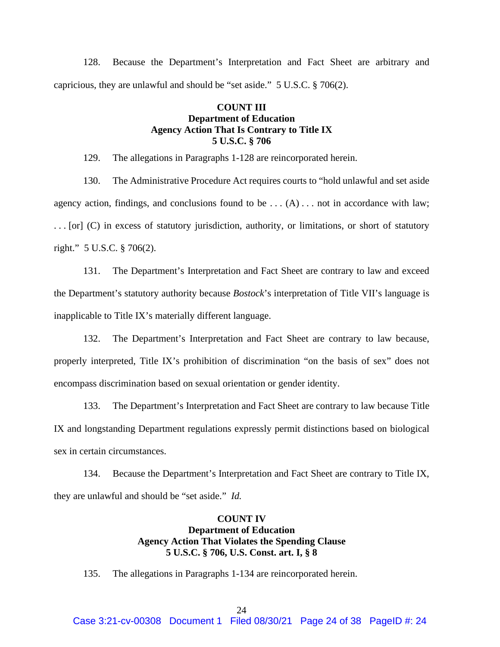128. Because the Department's Interpretation and Fact Sheet are arbitrary and capricious, they are unlawful and should be "set aside." 5 U.S.C. § 706(2).

# **COUNT III Department of Education Agency Action That Is Contrary to Title IX 5 U.S.C. § 706**

129. The allegations in Paragraphs 1-128 are reincorporated herein.

130. The Administrative Procedure Act requires courts to "hold unlawful and set aside agency action, findings, and conclusions found to be  $\dots(A) \dots$  not in accordance with law; . . . [or] (C) in excess of statutory jurisdiction, authority, or limitations, or short of statutory right." 5 U.S.C. § 706(2).

131. The Department's Interpretation and Fact Sheet are contrary to law and exceed the Department's statutory authority because *Bostock*'s interpretation of Title VII's language is inapplicable to Title IX's materially different language.

132. The Department's Interpretation and Fact Sheet are contrary to law because, properly interpreted, Title IX's prohibition of discrimination "on the basis of sex" does not encompass discrimination based on sexual orientation or gender identity.

133. The Department's Interpretation and Fact Sheet are contrary to law because Title IX and longstanding Department regulations expressly permit distinctions based on biological sex in certain circumstances.

134. Because the Department's Interpretation and Fact Sheet are contrary to Title IX, they are unlawful and should be "set aside." *Id.*

# **COUNT IV Department of Education Agency Action That Violates the Spending Clause 5 U.S.C. § 706, U.S. Const. art. I, § 8**

135. The allegations in Paragraphs 1-134 are reincorporated herein.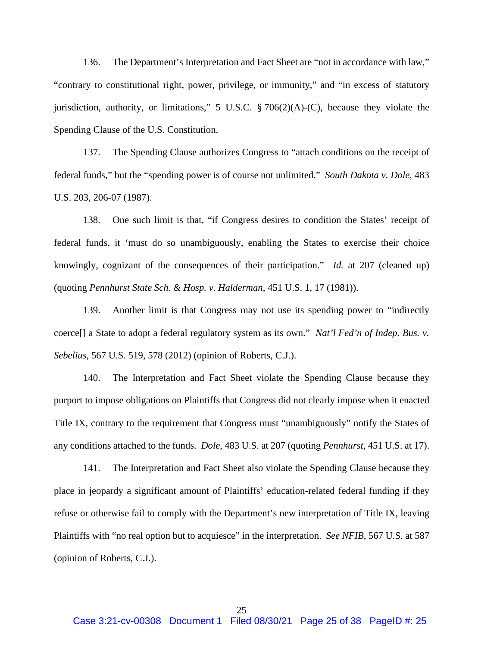136. The Department's Interpretation and Fact Sheet are "not in accordance with law," "contrary to constitutional right, power, privilege, or immunity," and "in excess of statutory jurisdiction, authority, or limitations," 5 U.S.C. § 706(2)(A)-(C), because they violate the Spending Clause of the U.S. Constitution.

137. The Spending Clause authorizes Congress to "attach conditions on the receipt of federal funds," but the "spending power is of course not unlimited." *South Dakota v. Dole*, 483 U.S. 203, 206-07 (1987).

138. One such limit is that, "if Congress desires to condition the States' receipt of federal funds, it 'must do so unambiguously, enabling the States to exercise their choice knowingly, cognizant of the consequences of their participation." *Id.* at 207 (cleaned up) (quoting *Pennhurst State Sch. & Hosp. v. Halderman*, 451 U.S. 1, 17 (1981)).

139. Another limit is that Congress may not use its spending power to "indirectly coerce[] a State to adopt a federal regulatory system as its own." *Nat'l Fed'n of Indep. Bus. v. Sebelius*, 567 U.S. 519, 578 (2012) (opinion of Roberts, C.J.).

140. The Interpretation and Fact Sheet violate the Spending Clause because they purport to impose obligations on Plaintiffs that Congress did not clearly impose when it enacted Title IX, contrary to the requirement that Congress must "unambiguously" notify the States of any conditions attached to the funds. *Dole*, 483 U.S. at 207 (quoting *Pennhurst*, 451 U.S. at 17).

141. The Interpretation and Fact Sheet also violate the Spending Clause because they place in jeopardy a significant amount of Plaintiffs' education-related federal funding if they refuse or otherwise fail to comply with the Department's new interpretation of Title IX, leaving Plaintiffs with "no real option but to acquiesce" in the interpretation. *See NFIB*, 567 U.S. at 587 (opinion of Roberts, C.J.).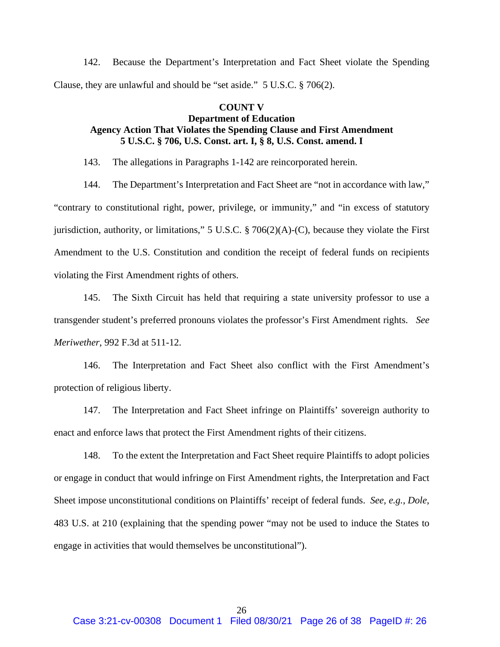142. Because the Department's Interpretation and Fact Sheet violate the Spending Clause, they are unlawful and should be "set aside." 5 U.S.C. § 706(2).

## **COUNT V Department of Education Agency Action That Violates the Spending Clause and First Amendment 5 U.S.C. § 706, U.S. Const. art. I, § 8, U.S. Const. amend. I**

143. The allegations in Paragraphs 1-142 are reincorporated herein.

144. The Department's Interpretation and Fact Sheet are "not in accordance with law," "contrary to constitutional right, power, privilege, or immunity," and "in excess of statutory jurisdiction, authority, or limitations," 5 U.S.C.  $\S 706(2)(A)-(C)$ , because they violate the First Amendment to the U.S. Constitution and condition the receipt of federal funds on recipients violating the First Amendment rights of others.

145. The Sixth Circuit has held that requiring a state university professor to use a transgender student's preferred pronouns violates the professor's First Amendment rights. *See Meriwether*, 992 F.3d at 511-12.

146. The Interpretation and Fact Sheet also conflict with the First Amendment's protection of religious liberty.

147. The Interpretation and Fact Sheet infringe on Plaintiffs' sovereign authority to enact and enforce laws that protect the First Amendment rights of their citizens.

148. To the extent the Interpretation and Fact Sheet require Plaintiffs to adopt policies or engage in conduct that would infringe on First Amendment rights, the Interpretation and Fact Sheet impose unconstitutional conditions on Plaintiffs' receipt of federal funds. *See, e.g.*, *Dole*, 483 U.S. at 210 (explaining that the spending power "may not be used to induce the States to engage in activities that would themselves be unconstitutional").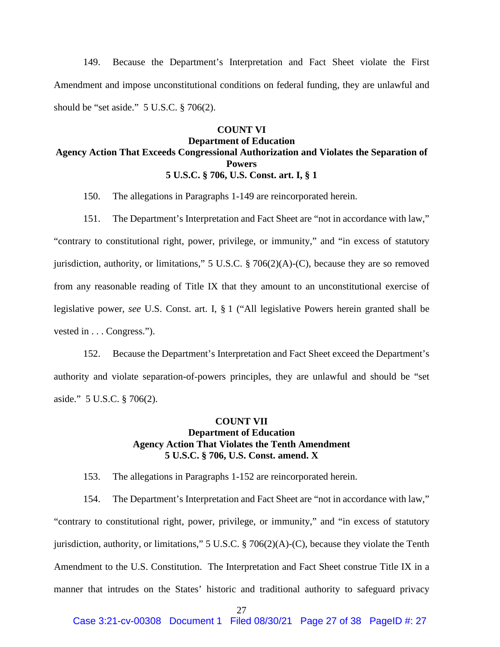149. Because the Department's Interpretation and Fact Sheet violate the First Amendment and impose unconstitutional conditions on federal funding, they are unlawful and should be "set aside." 5 U.S.C. § 706(2).

#### **COUNT VI**

# **Department of Education Agency Action That Exceeds Congressional Authorization and Violates the Separation of Powers 5 U.S.C. § 706, U.S. Const. art. I, § 1**

150. The allegations in Paragraphs 1-149 are reincorporated herein.

151. The Department's Interpretation and Fact Sheet are "not in accordance with law," "contrary to constitutional right, power, privilege, or immunity," and "in excess of statutory jurisdiction, authority, or limitations," 5 U.S.C. § 706(2)(A)-(C), because they are so removed from any reasonable reading of Title IX that they amount to an unconstitutional exercise of legislative power, *see* U.S. Const. art. I, § 1 ("All legislative Powers herein granted shall be vested in . . . Congress.").

152. Because the Department's Interpretation and Fact Sheet exceed the Department's authority and violate separation-of-powers principles, they are unlawful and should be "set aside." 5 U.S.C. § 706(2).

#### **COUNT VII Department of Education Agency Action That Violates the Tenth Amendment 5 U.S.C. § 706, U.S. Const. amend. X**

153. The allegations in Paragraphs 1-152 are reincorporated herein.

154. The Department's Interpretation and Fact Sheet are "not in accordance with law," "contrary to constitutional right, power, privilege, or immunity," and "in excess of statutory jurisdiction, authority, or limitations," 5 U.S.C. § 706(2)(A)-(C), because they violate the Tenth Amendment to the U.S. Constitution. The Interpretation and Fact Sheet construe Title IX in a manner that intrudes on the States' historic and traditional authority to safeguard privacy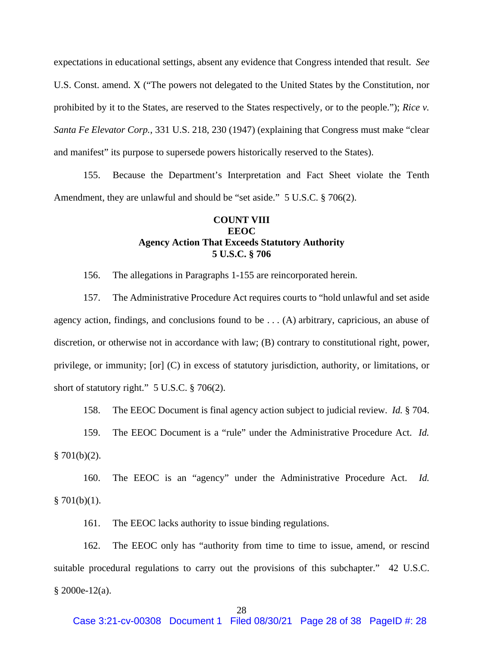expectations in educational settings, absent any evidence that Congress intended that result. *See*  U.S. Const. amend. X ("The powers not delegated to the United States by the Constitution, nor prohibited by it to the States, are reserved to the States respectively, or to the people."); *Rice v. Santa Fe Elevator Corp.*, 331 U.S. 218, 230 (1947) (explaining that Congress must make "clear and manifest" its purpose to supersede powers historically reserved to the States).

155. Because the Department's Interpretation and Fact Sheet violate the Tenth Amendment, they are unlawful and should be "set aside." 5 U.S.C. § 706(2).

# **COUNT VIII EEOC Agency Action That Exceeds Statutory Authority 5 U.S.C. § 706**

156. The allegations in Paragraphs 1-155 are reincorporated herein.

157. The Administrative Procedure Act requires courts to "hold unlawful and set aside agency action, findings, and conclusions found to be  $\dots$  (A) arbitrary, capricious, an abuse of discretion, or otherwise not in accordance with law; (B) contrary to constitutional right, power, privilege, or immunity; [or] (C) in excess of statutory jurisdiction, authority, or limitations, or short of statutory right." 5 U.S.C. § 706(2).

158. The EEOC Document is final agency action subject to judicial review. *Id.* § 704.

159. The EEOC Document is a "rule" under the Administrative Procedure Act. *Id.*   $$701(b)(2).$ 

160. The EEOC is an "agency" under the Administrative Procedure Act. *Id.*   $§ 701(b)(1).$ 

161. The EEOC lacks authority to issue binding regulations.

162. The EEOC only has "authority from time to time to issue, amend, or rescind suitable procedural regulations to carry out the provisions of this subchapter." 42 U.S.C. § 2000e-12(a).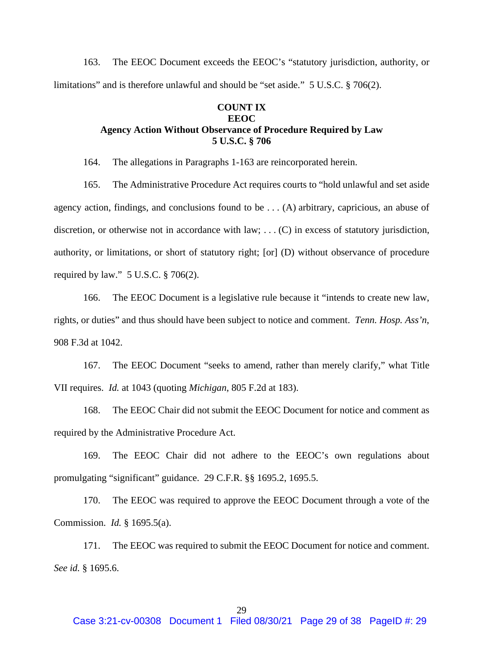163. The EEOC Document exceeds the EEOC's "statutory jurisdiction, authority, or limitations" and is therefore unlawful and should be "set aside." 5 U.S.C. § 706(2).

# **COUNT IX EEOC Agency Action Without Observance of Procedure Required by Law 5 U.S.C. § 706**

164. The allegations in Paragraphs 1-163 are reincorporated herein.

165. The Administrative Procedure Act requires courts to "hold unlawful and set aside agency action, findings, and conclusions found to be . . . (A) arbitrary, capricious, an abuse of discretion, or otherwise not in accordance with law; ... (C) in excess of statutory jurisdiction, authority, or limitations, or short of statutory right; [or] (D) without observance of procedure required by law." 5 U.S.C. § 706(2).

166. The EEOC Document is a legislative rule because it "intends to create new law, rights, or duties" and thus should have been subject to notice and comment. *Tenn. Hosp. Ass'n*, 908 F.3d at 1042.

167. The EEOC Document "seeks to amend, rather than merely clarify," what Title VII requires. *Id.* at 1043 (quoting *Michigan*, 805 F.2d at 183).

168. The EEOC Chair did not submit the EEOC Document for notice and comment as required by the Administrative Procedure Act.

169. The EEOC Chair did not adhere to the EEOC's own regulations about promulgating "significant" guidance. 29 C.F.R. §§ 1695.2, 1695.5.

170. The EEOC was required to approve the EEOC Document through a vote of the Commission. *Id.* § 1695.5(a).

171. The EEOC was required to submit the EEOC Document for notice and comment. *See id.* § 1695.6.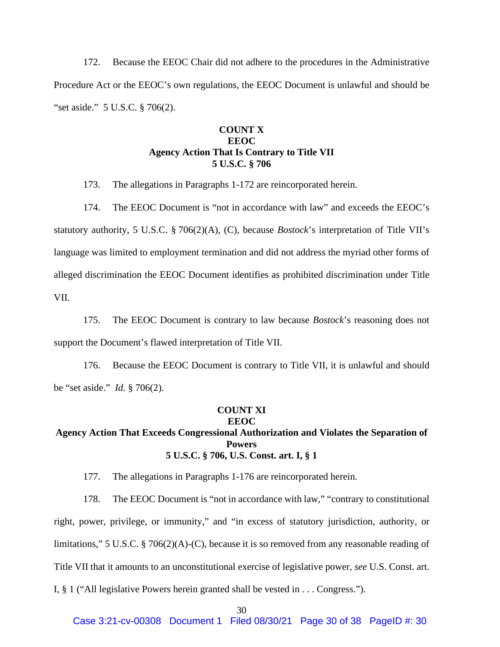172. Because the EEOC Chair did not adhere to the procedures in the Administrative Procedure Act or the EEOC's own regulations, the EEOC Document is unlawful and should be "set aside." 5 U.S.C. § 706(2).

#### **COUNT X EEOC Agency Action That Is Contrary to Title VII 5 U.S.C. § 706**

173. The allegations in Paragraphs 1-172 are reincorporated herein.

174. The EEOC Document is "not in accordance with law" and exceeds the EEOC's statutory authority, 5 U.S.C. § 706(2)(A), (C), because *Bostock*'s interpretation of Title VII's language was limited to employment termination and did not address the myriad other forms of alleged discrimination the EEOC Document identifies as prohibited discrimination under Title VII.

175. The EEOC Document is contrary to law because *Bostock*'s reasoning does not support the Document's flawed interpretation of Title VII.

176. Because the EEOC Document is contrary to Title VII, it is unlawful and should be "set aside." *Id*. § 706(2).

# **COUNT XI**

# **EEOC**

#### **Agency Action That Exceeds Congressional Authorization and Violates the Separation of Powers 5 U.S.C. § 706, U.S. Const. art. I, § 1**

177. The allegations in Paragraphs 1-176 are reincorporated herein.

178. The EEOC Document is "not in accordance with law," "contrary to constitutional right, power, privilege, or immunity," and "in excess of statutory jurisdiction, authority, or limitations," 5 U.S.C. § 706(2)(A)-(C), because it is so removed from any reasonable reading of Title VII that it amounts to an unconstitutional exercise of legislative power, *see* U.S. Const. art. I, § 1 ("All legislative Powers herein granted shall be vested in . . . Congress.").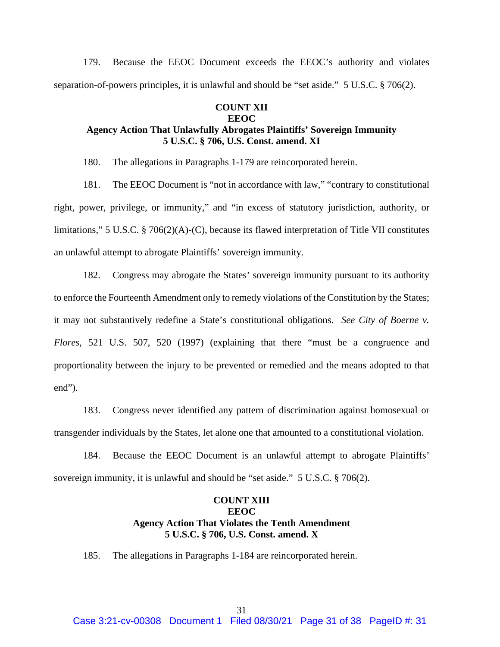179. Because the EEOC Document exceeds the EEOC's authority and violates separation-of-powers principles, it is unlawful and should be "set aside." 5 U.S.C. § 706(2).

# **COUNT XII EEOC Agency Action That Unlawfully Abrogates Plaintiffs' Sovereign Immunity 5 U.S.C. § 706, U.S. Const. amend. XI**

180. The allegations in Paragraphs 1-179 are reincorporated herein.

181. The EEOC Document is "not in accordance with law," "contrary to constitutional right, power, privilege, or immunity," and "in excess of statutory jurisdiction, authority, or limitations," 5 U.S.C. § 706(2)(A)-(C), because its flawed interpretation of Title VII constitutes an unlawful attempt to abrogate Plaintiffs' sovereign immunity.

182. Congress may abrogate the States' sovereign immunity pursuant to its authority to enforce the Fourteenth Amendment only to remedy violations of the Constitution by the States; it may not substantively redefine a State's constitutional obligations. *See City of Boerne v. Flores*, 521 U.S. 507, 520 (1997) (explaining that there "must be a congruence and proportionality between the injury to be prevented or remedied and the means adopted to that end").

183. Congress never identified any pattern of discrimination against homosexual or transgender individuals by the States, let alone one that amounted to a constitutional violation.

184. Because the EEOC Document is an unlawful attempt to abrogate Plaintiffs' sovereign immunity, it is unlawful and should be "set aside." 5 U.S.C. § 706(2).

# **COUNT XIII EEOC Agency Action That Violates the Tenth Amendment 5 U.S.C. § 706, U.S. Const. amend. X**

185. The allegations in Paragraphs 1-184 are reincorporated herein.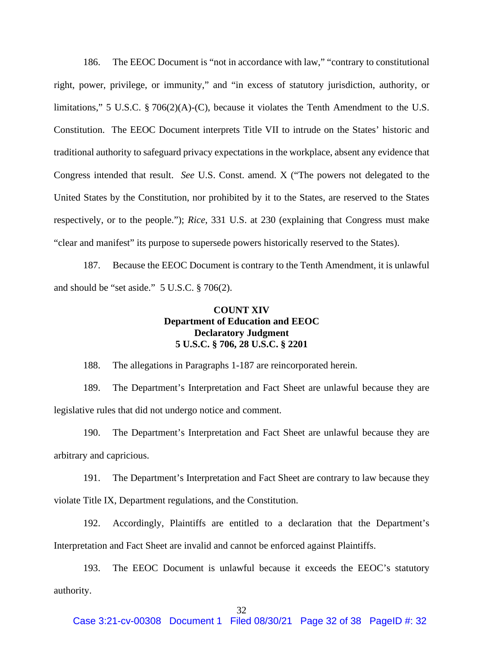186. The EEOC Document is "not in accordance with law," "contrary to constitutional right, power, privilege, or immunity," and "in excess of statutory jurisdiction, authority, or limitations," 5 U.S.C. § 706(2)(A)-(C), because it violates the Tenth Amendment to the U.S. Constitution. The EEOC Document interprets Title VII to intrude on the States' historic and traditional authority to safeguard privacy expectations in the workplace, absent any evidence that Congress intended that result. *See* U.S. Const. amend. X ("The powers not delegated to the United States by the Constitution, nor prohibited by it to the States, are reserved to the States respectively, or to the people."); *Rice*, 331 U.S. at 230 (explaining that Congress must make "clear and manifest" its purpose to supersede powers historically reserved to the States).

187. Because the EEOC Document is contrary to the Tenth Amendment, it is unlawful and should be "set aside." 5 U.S.C. § 706(2).

# **COUNT XIV Department of Education and EEOC Declaratory Judgment 5 U.S.C. § 706, 28 U.S.C. § 2201**

188. The allegations in Paragraphs 1-187 are reincorporated herein.

189. The Department's Interpretation and Fact Sheet are unlawful because they are legislative rules that did not undergo notice and comment.

190. The Department's Interpretation and Fact Sheet are unlawful because they are arbitrary and capricious.

191. The Department's Interpretation and Fact Sheet are contrary to law because they violate Title IX, Department regulations, and the Constitution.

192. Accordingly, Plaintiffs are entitled to a declaration that the Department's Interpretation and Fact Sheet are invalid and cannot be enforced against Plaintiffs.

193. The EEOC Document is unlawful because it exceeds the EEOC's statutory authority.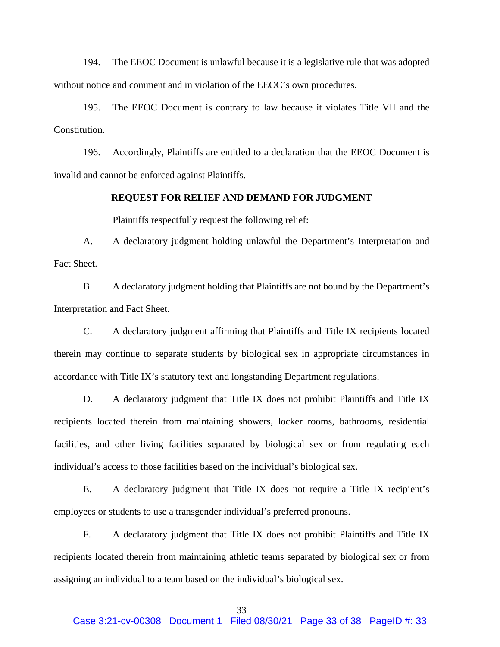194. The EEOC Document is unlawful because it is a legislative rule that was adopted without notice and comment and in violation of the EEOC's own procedures.

195. The EEOC Document is contrary to law because it violates Title VII and the Constitution.

196. Accordingly, Plaintiffs are entitled to a declaration that the EEOC Document is invalid and cannot be enforced against Plaintiffs.

#### **REQUEST FOR RELIEF AND DEMAND FOR JUDGMENT**

Plaintiffs respectfully request the following relief:

A. A declaratory judgment holding unlawful the Department's Interpretation and Fact Sheet.

B. A declaratory judgment holding that Plaintiffs are not bound by the Department's Interpretation and Fact Sheet.

C. A declaratory judgment affirming that Plaintiffs and Title IX recipients located therein may continue to separate students by biological sex in appropriate circumstances in accordance with Title IX's statutory text and longstanding Department regulations.

D. A declaratory judgment that Title IX does not prohibit Plaintiffs and Title IX recipients located therein from maintaining showers, locker rooms, bathrooms, residential facilities, and other living facilities separated by biological sex or from regulating each individual's access to those facilities based on the individual's biological sex.

E. A declaratory judgment that Title IX does not require a Title IX recipient's employees or students to use a transgender individual's preferred pronouns.

F. A declaratory judgment that Title IX does not prohibit Plaintiffs and Title IX recipients located therein from maintaining athletic teams separated by biological sex or from assigning an individual to a team based on the individual's biological sex.

#### 33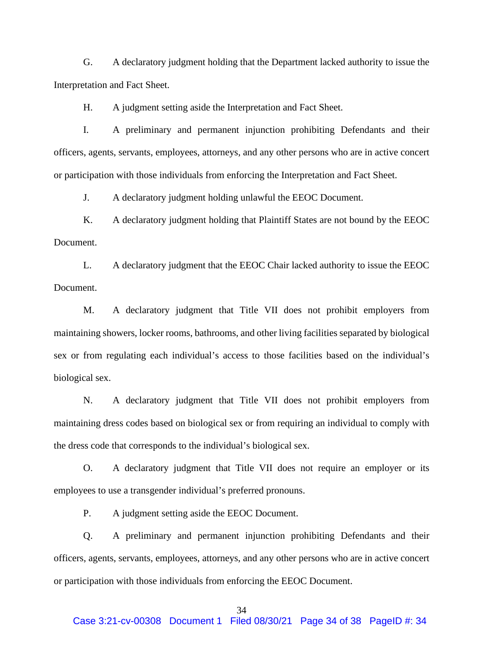G. A declaratory judgment holding that the Department lacked authority to issue the Interpretation and Fact Sheet.

H. A judgment setting aside the Interpretation and Fact Sheet.

I. A preliminary and permanent injunction prohibiting Defendants and their officers, agents, servants, employees, attorneys, and any other persons who are in active concert or participation with those individuals from enforcing the Interpretation and Fact Sheet.

J. A declaratory judgment holding unlawful the EEOC Document.

K. A declaratory judgment holding that Plaintiff States are not bound by the EEOC Document.

L. A declaratory judgment that the EEOC Chair lacked authority to issue the EEOC Document.

M. A declaratory judgment that Title VII does not prohibit employers from maintaining showers, locker rooms, bathrooms, and other living facilities separated by biological sex or from regulating each individual's access to those facilities based on the individual's biological sex.

N. A declaratory judgment that Title VII does not prohibit employers from maintaining dress codes based on biological sex or from requiring an individual to comply with the dress code that corresponds to the individual's biological sex.

O. A declaratory judgment that Title VII does not require an employer or its employees to use a transgender individual's preferred pronouns.

P. A judgment setting aside the EEOC Document.

Q. A preliminary and permanent injunction prohibiting Defendants and their officers, agents, servants, employees, attorneys, and any other persons who are in active concert or participation with those individuals from enforcing the EEOC Document.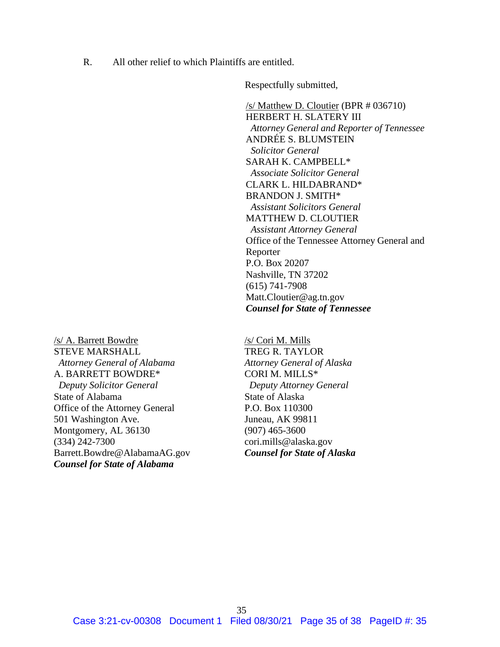R. All other relief to which Plaintiffs are entitled.

Respectfully submitted,

/s/ Matthew D. Cloutier (BPR # 036710) HERBERT H. SLATERY III *Attorney General and Reporter of Tennessee* ANDRÉE S. BLUMSTEIN *Solicitor General* SARAH K. CAMPBELL\* *Associate Solicitor General* CLARK L. HILDABRAND\* BRANDON J. SMITH\* *Assistant Solicitors General* MATTHEW D. CLOUTIER *Assistant Attorney General* Office of the Tennessee Attorney General and Reporter P.O. Box 20207 Nashville, TN 37202 (615) 741-7908 Matt.Cloutier@ag.tn.gov *Counsel for State of Tennessee*

/s/ A. Barrett Bowdre STEVE MARSHALL *Attorney General of Alabama* A. BARRETT BOWDRE\*  *Deputy Solicitor General* State of Alabama Office of the Attorney General 501 Washington Ave. Montgomery, AL 36130 (334) 242-7300 Barrett.Bowdre@AlabamaAG.gov *Counsel for State of Alabama*

/s/ Cori M. Mills TREG R. TAYLOR *Attorney General of Alaska* CORI M. MILLS\* *Deputy Attorney General* State of Alaska P.O. Box 110300 Juneau, AK 99811 (907) 465-3600 cori.mills@alaska.gov *Counsel for State of Alaska*

35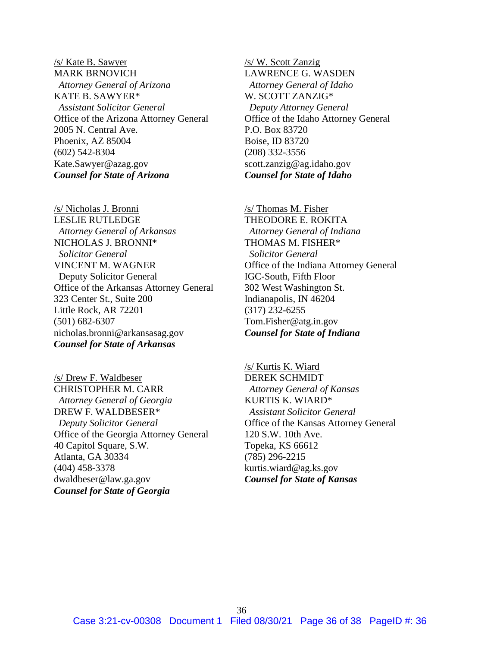/s/ Kate B. Sawyer MARK BRNOVICH *Attorney General of Arizona* KATE B. SAWYER\* *Assistant Solicitor General* Office of the Arizona Attorney General 2005 N. Central Ave. Phoenix, AZ 85004 (602) 542-8304 Kate.Sawyer@azag.gov *Counsel for State of Arizona*

/s/ Nicholas J. Bronni LESLIE RUTLEDGE *Attorney General of Arkansas* NICHOLAS J. BRONNI\* *Solicitor General* VINCENT M. WAGNER Deputy Solicitor General Office of the Arkansas Attorney General 323 Center St., Suite 200 Little Rock, AR 72201 (501) 682-6307 nicholas.bronni@arkansasag.gov *Counsel for State of Arkansas*

/s/ Drew F. Waldbeser CHRISTOPHER M. CARR *Attorney General of Georgia* DREW F. WALDBESER\* *Deputy Solicitor General* Office of the Georgia Attorney General 40 Capitol Square, S.W. Atlanta, GA 30334 (404) 458-3378 dwaldbeser@law.ga.gov *Counsel for State of Georgia*

/s/ W. Scott Zanzig LAWRENCE G. WASDEN *Attorney General of Idaho* W. SCOTT ZANZIG\* *Deputy Attorney General* Office of the Idaho Attorney General P.O. Box 83720 Boise, ID 83720 (208) 332-3556 scott.zanzig@ag.idaho.gov *Counsel for State of Idaho*

/s/ Thomas M. Fisher THEODORE E. ROKITA *Attorney General of Indiana* THOMAS M. FISHER\*  *Solicitor General* Office of the Indiana Attorney General IGC-South, Fifth Floor 302 West Washington St. Indianapolis, IN 46204 (317) 232-6255 Tom.Fisher@atg.in.gov *Counsel for State of Indiana*

/s/ Kurtis K. Wiard DEREK SCHMIDT *Attorney General of Kansas* KURTIS K. WIARD\* *Assistant Solicitor General* Office of the Kansas Attorney General 120 S.W. 10th Ave. Topeka, KS 66612 (785) 296-2215 kurtis.wiard@ag.ks.gov *Counsel for State of Kansas*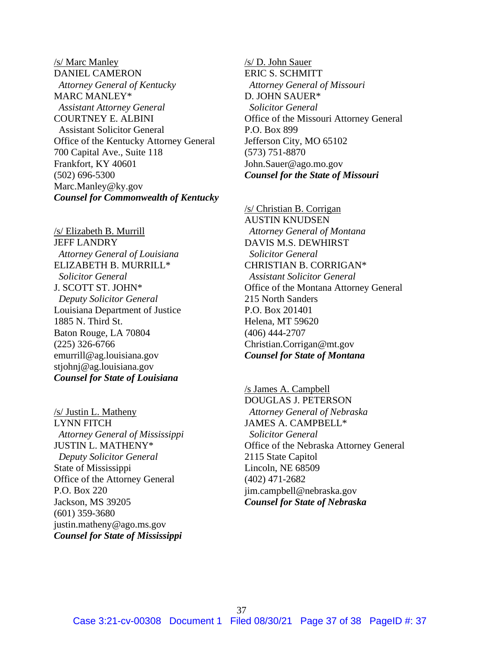/s/ Marc Manley DANIEL CAMERON *Attorney General of Kentucky* MARC MANLEY\* *Assistant Attorney General* COURTNEY E. ALBINI Assistant Solicitor General Office of the Kentucky Attorney General 700 Capital Ave., Suite 118 Frankfort, KY 40601 (502) 696-5300 Marc.Manley@ky.gov *Counsel for Commonwealth of Kentucky*

/s/ Elizabeth B. Murrill JEFF LANDRY *Attorney General of Louisiana* ELIZABETH B. MURRILL\* *Solicitor General* J. SCOTT ST. JOHN\* *Deputy Solicitor General* Louisiana Department of Justice 1885 N. Third St. Baton Rouge, LA 70804 (225) 326-6766 emurrill@ag.louisiana.gov stjohnj@ag.louisiana.gov *Counsel for State of Louisiana*

/s/ Justin L. Matheny LYNN FITCH  *Attorney General of Mississippi* JUSTIN L. MATHENY\*  *Deputy Solicitor General* State of Mississippi Office of the Attorney General P.O. Box 220 Jackson, MS 39205 (601) 359-3680 justin.matheny@ago.ms.gov *Counsel for State of Mississippi*

/s/ D. John Sauer ERIC S. SCHMITT *Attorney General of Missouri* D. JOHN SAUER\*  *Solicitor General* Office of the Missouri Attorney General P.O. Box 899 Jefferson City, MO 65102 (573) 751-8870 John.Sauer@ago.mo.gov *Counsel for the State of Missouri*

/s/ Christian B. Corrigan AUSTIN KNUDSEN *Attorney General of Montana* DAVIS M.S. DEWHIRST *Solicitor General* CHRISTIAN B. CORRIGAN\* *Assistant Solicitor General* Office of the Montana Attorney General 215 North Sanders P.O. Box 201401 Helena, MT 59620 (406) 444-2707 Christian.Corrigan@mt.gov *Counsel for State of Montana*

/s James A. Campbell DOUGLAS J. PETERSON *Attorney General of Nebraska* JAMES A. CAMPBELL\* *Solicitor General* Office of the Nebraska Attorney General 2115 State Capitol Lincoln, NE 68509 (402) 471-2682 jim.campbell@nebraska.gov *Counsel for State of Nebraska*